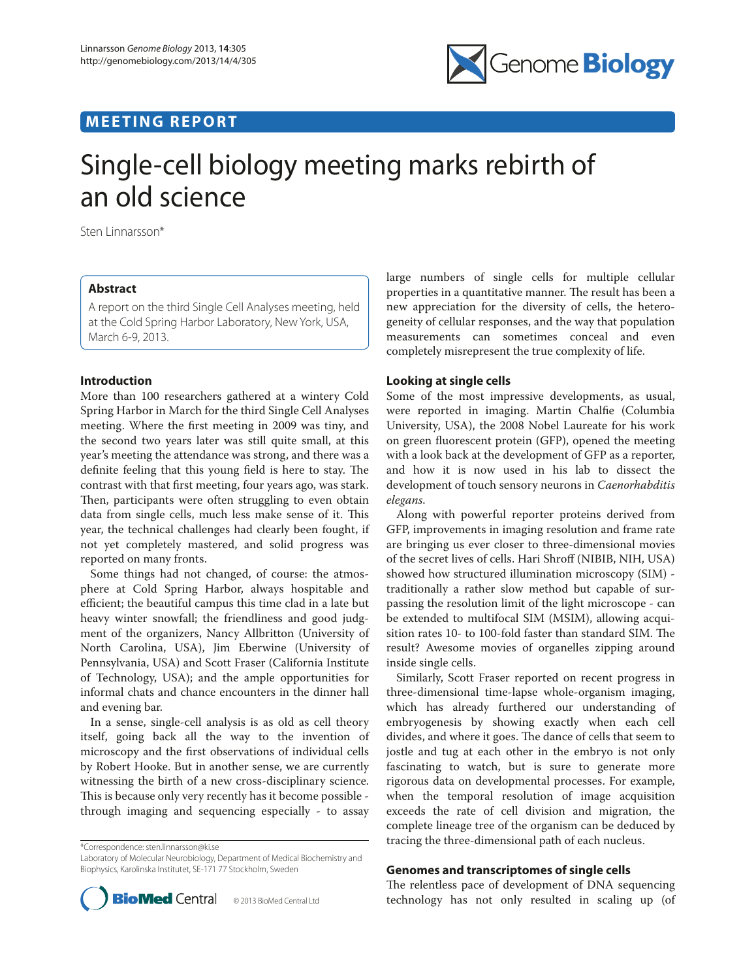# **MEETING REPORT**



# Single-cell biology meeting marks rebirth of an old science

Sten Linnarsson\*

# **Abstract**

A report on the third Single Cell Analyses meeting, held at the Cold Spring Harbor Laboratory, New York, USA, March 6-9, 2013.

# **Introduction**

More than 100 researchers gathered at a wintery Cold Spring Harbor in March for the third Single Cell Analyses meeting. Where the first meeting in 2009 was tiny, and the second two years later was still quite small, at this year's meeting the attendance was strong, and there was a definite feeling that this young field is here to stay. The contrast with that first meeting, four years ago, was stark. Then, participants were often struggling to even obtain data from single cells, much less make sense of it. This year, the technical challenges had clearly been fought, if not yet completely mastered, and solid progress was reported on many fronts.

Some things had not changed, of course: the atmosphere at Cold Spring Harbor, always hospitable and efficient; the beautiful campus this time clad in a late but heavy winter snowfall; the friendliness and good judgment of the organizers, Nancy Allbritton (University of North Carolina, USA), Jim Eberwine (University of Pennsylvania, USA) and Scott Fraser (California Institute of Technology, USA); and the ample opportunities for informal chats and chance encounters in the dinner hall and evening bar.

In a sense, single-cell analysis is as old as cell theory itself, going back all the way to the invention of microscopy and the first observations of individual cells by Robert Hooke. But in another sense, we are currently witnessing the birth of a new cross-disciplinary science. This is because only very recently has it become possible through imaging and sequencing especially - to assay

\*Correspondence: sten.linnarsson@ki.se

Laboratory of Molecular Neurobiology, Department of Medical Biochemistry and Biophysics, Karolinska Institutet, SE-171 77 Stockholm, Sweden



large numbers of single cells for multiple cellular properties in a quantitative manner. The result has been a new appreciation for the diversity of cells, the heterogeneity of cellular responses, and the way that population measurements can sometimes conceal and even completely misrepresent the true complexity of life.

# **Looking at single cells**

Some of the most impressive developments, as usual, were reported in imaging. Martin Chalfie (Columbia University, USA), the 2008 Nobel Laureate for his work on green fluorescent protein (GFP), opened the meeting with a look back at the development of GFP as a reporter, and how it is now used in his lab to dissect the development of touch sensory neurons in *Caenorhabditis elegans*.

Along with powerful reporter proteins derived from GFP, improvements in imaging resolution and frame rate are bringing us ever closer to three-dimensional movies of the secret lives of cells. Hari Shroff (NIBIB, NIH, USA) showed how structured illumination microscopy (SIM) traditionally a rather slow method but capable of surpassing the resolution limit of the light microscope - can be extended to multifocal SIM (MSIM), allowing acquisition rates 10- to 100-fold faster than standard SIM. The result? Awesome movies of organelles zipping around inside single cells.

Similarly, Scott Fraser reported on recent progress in three-dimensional time-lapse whole-organism imaging, which has already furthered our understanding of embryogenesis by showing exactly when each cell divides, and where it goes. The dance of cells that seem to jostle and tug at each other in the embryo is not only fascinating to watch, but is sure to generate more rigorous data on developmental processes. For example, when the temporal resolution of image acquisition exceeds the rate of cell division and migration, the complete lineage tree of the organism can be deduced by tracing the three-dimensional path of each nucleus.

#### **Genomes and transcriptomes of single cells**

The relentless pace of development of DNA sequencing technology has not only resulted in scaling up (of